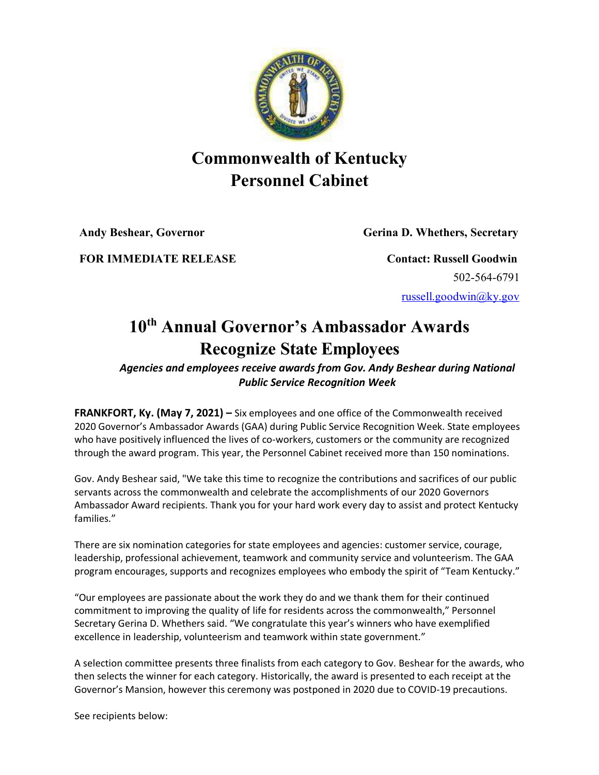

## **Commonwealth of Kentucky Personnel Cabinet**

**Andy Beshear, Governor Gerina D. Whethers, Secretary**

**FOR IMMEDIATE RELEASE Contact:** Russell Goodwin

502-564-6791 [russell.goodwin@ky.gov](mailto:russell.goodwin@ky.gov)

## **10th Annual Governor's Ambassador Awards Recognize State Employees**

## *Agencies and employees receive awards from Gov. Andy Beshear during National Public Service Recognition Week*

**FRANKFORT, Ky. (May 7, 2021) –** Six employees and one office of the Commonwealth received 2020 Governor's Ambassador Awards (GAA) during Public Service Recognition Week. State employees who have positively influenced the lives of co-workers, customers or the community are recognized through the award program. This year, the Personnel Cabinet received more than 150 nominations.

Gov. Andy Beshear said, "We take this time to recognize the contributions and sacrifices of our public servants across the commonwealth and celebrate the accomplishments of our 2020 Governors Ambassador Award recipients. Thank you for your hard work every day to assist and protect Kentucky families."

There are six nomination categories for state employees and agencies: customer service, courage, leadership, professional achievement, teamwork and community service and volunteerism. The GAA program encourages, supports and recognizes employees who embody the spirit of "Team Kentucky."

"Our employees are passionate about the work they do and we thank them for their continued commitment to improving the quality of life for residents across the commonwealth," Personnel Secretary Gerina D. Whethers said. "We congratulate this year's winners who have exemplified excellence in leadership, volunteerism and teamwork within state government."

A selection committee presents three finalists from each category to Gov. Beshear for the awards, who then selects the winner for each category. Historically, the award is presented to each receipt at the Governor's Mansion, however this ceremony was postponed in 2020 due to COVID-19 precautions.

See recipients below: